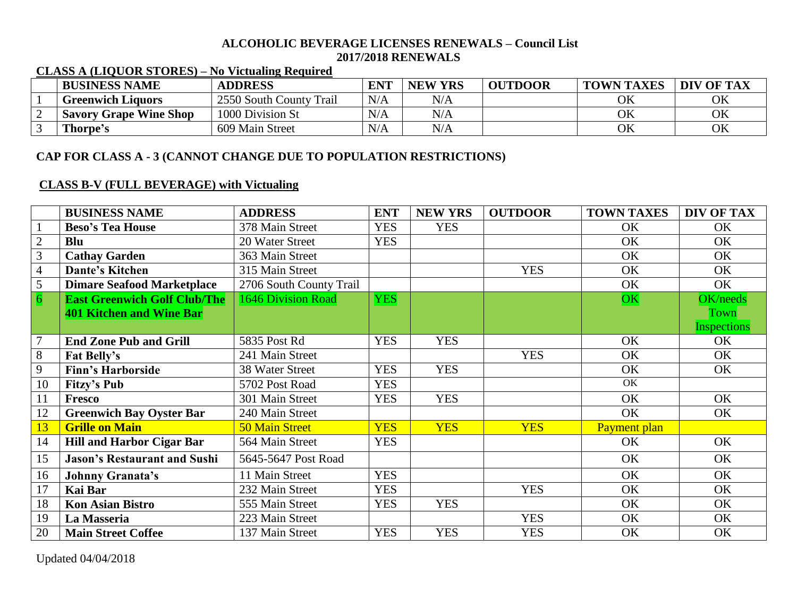#### **ALCOHOLIC BEVERAGE LICENSES RENEWALS – Council List 2017/2018 RENEWALS**

| <b>BUSINESS NAME</b>          | <b>ADDRESS</b>          | <b>ENT</b> | <b>NEW YRS</b> | <b>OUTDOOR</b> | <b>TOWN TAXES</b> | DIV OF TAX |
|-------------------------------|-------------------------|------------|----------------|----------------|-------------------|------------|
| <b>Greenwich Liquors</b>      | 2550 South County Trail | N/A        | N/A            |                | OK                | OK         |
| <b>Savory Grape Wine Shop</b> | 1000 Division St        | N/A        | N/A            |                | OK                | OK         |
| Thorpe's                      | 609 Main Street         | N/A        | $\rm N/A$      |                | OK                | ОK         |

## **CLASS A (LIQUOR STORES) – No Victualing Required**

# **CAP FOR CLASS A - 3 (CANNOT CHANGE DUE TO POPULATION RESTRICTIONS)**

## **CLASS B-V (FULL BEVERAGE) with Victualing**

|                | <b>BUSINESS NAME</b>                | <b>ADDRESS</b>          | <b>ENT</b> | <b>NEW YRS</b> | <b>OUTDOOR</b> | <b>TOWN TAXES</b> | DIV OF TAX         |
|----------------|-------------------------------------|-------------------------|------------|----------------|----------------|-------------------|--------------------|
|                | <b>Beso's Tea House</b>             | 378 Main Street         | <b>YES</b> | <b>YES</b>     |                | OK                | OK                 |
| $\overline{2}$ | <b>Blu</b>                          | 20 Water Street         | <b>YES</b> |                |                | OK                | OK                 |
| 3              | <b>Cathay Garden</b>                | 363 Main Street         |            |                |                | OK                | OK                 |
| $\overline{4}$ | <b>Dante's Kitchen</b>              | 315 Main Street         |            |                | <b>YES</b>     | OK                | OK                 |
| $\overline{5}$ | <b>Dimare Seafood Marketplace</b>   | 2706 South County Trail |            |                |                | OK                | OK                 |
| $\overline{6}$ | <b>East Greenwich Golf Club/The</b> | 1646 Division Road      | <b>YES</b> |                |                | OK                | OK/needs           |
|                | 401 Kitchen and Wine Bar            |                         |            |                |                |                   | <b>Town</b>        |
|                |                                     |                         |            |                |                |                   | <b>Inspections</b> |
| $\overline{7}$ | <b>End Zone Pub and Grill</b>       | 5835 Post Rd            | <b>YES</b> | <b>YES</b>     |                | OK                | OK                 |
| $8\,$          | Fat Belly's                         | 241 Main Street         |            |                | <b>YES</b>     | OK                | OK                 |
| 9              | <b>Finn's Harborside</b>            | 38 Water Street         | <b>YES</b> | <b>YES</b>     |                | OK                | OK                 |
| 10             | <b>Fitzy's Pub</b>                  | 5702 Post Road          | <b>YES</b> |                |                | OK                |                    |
| 11             | Fresco                              | 301 Main Street         | <b>YES</b> | <b>YES</b>     |                | OK                | OK                 |
| 12             | <b>Greenwich Bay Oyster Bar</b>     | 240 Main Street         |            |                |                | OK                | OK                 |
| 13             | <b>Grille on Main</b>               | <b>50 Main Street</b>   | <b>YES</b> | <b>YES</b>     | <b>YES</b>     | Payment plan      |                    |
| 14             | <b>Hill and Harbor Cigar Bar</b>    | 564 Main Street         | <b>YES</b> |                |                | OK                | OK                 |
| 15             | <b>Jason's Restaurant and Sushi</b> | 5645-5647 Post Road     |            |                |                | OK                | OK                 |
| 16             | <b>Johnny Granata's</b>             | 11 Main Street          | <b>YES</b> |                |                | OK                | OK                 |
| 17             | <b>Kai Bar</b>                      | 232 Main Street         | <b>YES</b> |                | <b>YES</b>     | OK                | OK                 |
| 18             | <b>Kon Asian Bistro</b>             | 555 Main Street         | <b>YES</b> | <b>YES</b>     |                | OK                | OK                 |
| 19             | La Masseria                         | 223 Main Street         |            |                | <b>YES</b>     | OK                | OK                 |
| 20             | <b>Main Street Coffee</b>           | 137 Main Street         | <b>YES</b> | <b>YES</b>     | <b>YES</b>     | OK                | OK                 |

Updated 04/04/2018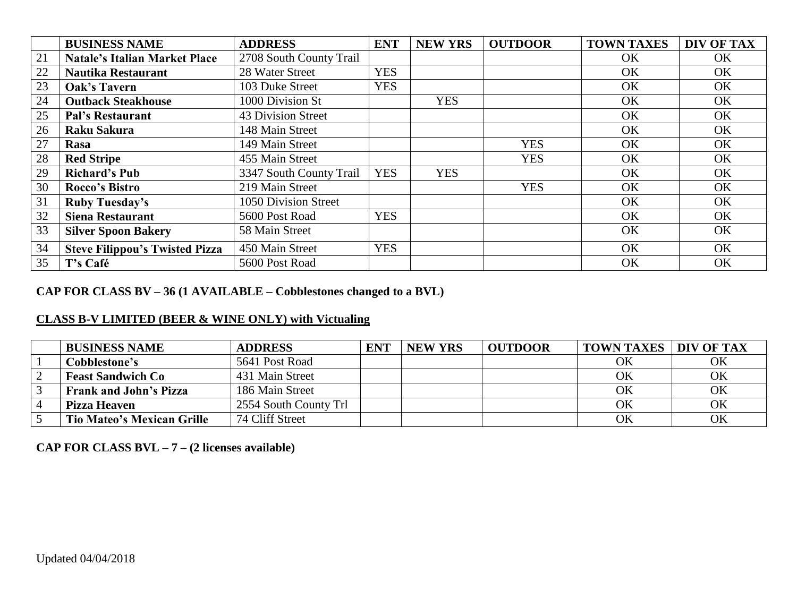|    | <b>BUSINESS NAME</b>                  | <b>ADDRESS</b>          | <b>ENT</b> | <b>NEW YRS</b> | <b>OUTDOOR</b> | <b>TOWN TAXES</b> | DIV OF TAX |
|----|---------------------------------------|-------------------------|------------|----------------|----------------|-------------------|------------|
| 21 | <b>Natale's Italian Market Place</b>  | 2708 South County Trail |            |                |                | <b>OK</b>         | OK         |
| 22 | <b>Nautika Restaurant</b>             | 28 Water Street         | <b>YES</b> |                |                | OK                | OK         |
| 23 | <b>Oak's Tavern</b>                   | 103 Duke Street         | <b>YES</b> |                |                | <b>OK</b>         | OK         |
| 24 | <b>Outback Steakhouse</b>             | 1000 Division St        |            | <b>YES</b>     |                | OK                | OK         |
| 25 | <b>Pal's Restaurant</b>               | 43 Division Street      |            |                |                | OK                | OK         |
| 26 | <b>Raku Sakura</b>                    | 148 Main Street         |            |                |                | OK                | OK         |
| 27 | Rasa                                  | 149 Main Street         |            |                | <b>YES</b>     | <b>OK</b>         | OK         |
| 28 | <b>Red Stripe</b>                     | 455 Main Street         |            |                | <b>YES</b>     | OK                | OK         |
| 29 | <b>Richard's Pub</b>                  | 3347 South County Trail | <b>YES</b> | <b>YES</b>     |                | OK                | OK         |
| 30 | Rocco's Bistro                        | 219 Main Street         |            |                | <b>YES</b>     | OK                | OK         |
| 31 | <b>Ruby Tuesday's</b>                 | 1050 Division Street    |            |                |                | OK                | OK         |
| 32 | <b>Siena Restaurant</b>               | 5600 Post Road          | <b>YES</b> |                |                | OK                | OK         |
| 33 | <b>Silver Spoon Bakery</b>            | 58 Main Street          |            |                |                | <b>OK</b>         | OK         |
| 34 | <b>Steve Filippou's Twisted Pizza</b> | 450 Main Street         | <b>YES</b> |                |                | <b>OK</b>         | OK         |
| 35 | T's Café                              | 5600 Post Road          |            |                |                | OK                | OK         |

# **CAP FOR CLASS BV – 36 (1 AVAILABLE – Cobblestones changed to a BVL)**

# **CLASS B-V LIMITED (BEER & WINE ONLY) with Victualing**

| <b>BUSINESS NAME</b>              | <b>ADDRESS</b>        | <b>ENT</b> | <b>NEW YRS</b> | <b>OUTDOOR</b> | <b>TOWN TAXES</b> | <b>DIV OF TAX</b> |
|-----------------------------------|-----------------------|------------|----------------|----------------|-------------------|-------------------|
| Cobblestone's                     | 5641 Post Road        |            |                |                | OK                | OK                |
| <b>Feast Sandwich Co</b>          | 431 Main Street       |            |                |                | OK                | OK                |
| <b>Frank and John's Pizza</b>     | 186 Main Street       |            |                |                | OK                | OK                |
| <b>Pizza Heaven</b>               | 2554 South County Trl |            |                |                | OK                | OK                |
| <b>Tio Mateo's Mexican Grille</b> | 74 Cliff Street       |            |                |                | OK                | OK                |

**CAP FOR CLASS BVL – 7 – (2 licenses available)**